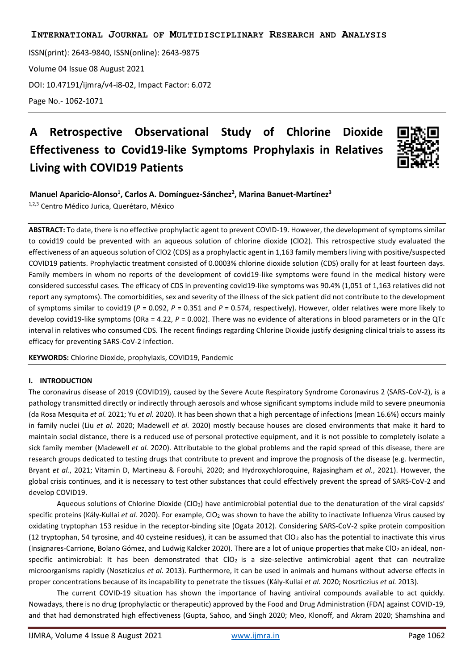ISSN(print): 2643-9840, ISSN(online): 2643-9875 Volume 04 Issue 08 August 2021 [DOI: 10.47191/ijmra/v4-i8-02,](https://doi.org/10.47191/ijmra/v4-i8-02) Impact Factor: 6.072 Page No.- 1062-1071

# **A Retrospective Observational Study of Chlorine Dioxide Effectiveness to Covid19-like Symptoms Prophylaxis in Relatives Living with COVID19 Patients**



## **Manuel Aparicio-Alonso<sup>1</sup> , Carlos A. Domínguez-Sánchez<sup>2</sup> , Marina Banuet-Martínez<sup>3</sup>**

1,2,3 Centro Médico Jurica, Querétaro, México

**ABSTRACT:** To date, there is no effective prophylactic agent to prevent COVID-19. However, the development of symptoms similar to covid19 could be prevented with an aqueous solution of chlorine dioxide (ClO2). This retrospective study evaluated the effectiveness of an aqueous solution of ClO2 (CDS) as a prophylactic agent in 1,163 family members living with positive/suspected COVID19 patients. Prophylactic treatment consisted of 0.0003% chlorine dioxide solution (CDS) orally for at least fourteen days. Family members in whom no reports of the development of covid19-like symptoms were found in the medical history were considered successful cases. The efficacy of CDS in preventing covid19-like symptoms was 90.4% (1,051 of 1,163 relatives did not report any symptoms). The comorbidities, sex and severity of the illness of the sick patient did not contribute to the development of symptoms similar to covid19 (*P* = 0.092, *P* = 0.351 and *P* = 0.574, respectively). However, older relatives were more likely to develop covid19-like symptoms (ORa = 4.22, *P* = 0.002). There was no evidence of alterations in blood parameters or in the QTc interval in relatives who consumed CDS. The recent findings regarding Chlorine Dioxide justify designing clinical trials to assess its efficacy for preventing SARS-CoV-2 infection.

**KEYWORDS:** Chlorine Dioxide, prophylaxis, COVID19, Pandemic

#### **I. INTRODUCTION**

The coronavirus disease of 2019 (COVID19), caused by the Severe Acute Respiratory Syndrome Coronavirus 2 (SARS-CoV-2), is a pathology transmitted directly or indirectly through aerosols and whose significant symptoms include mild to severe pneumonia (da Rosa Mesquita *et al.* 2021; Yu *et al.* 2020). It has been shown that a high percentage of infections (mean 16.6%) occurs mainly in family nuclei (Liu *et al.* 2020; Madewell *et al.* 2020) mostly because houses are closed environments that make it hard to maintain social distance, there is a reduced use of personal protective equipment, and it is not possible to completely isolate a sick family member (Madewell *et al.* 2020). Attributable to the global problems and the rapid spread of this disease, there are research groups dedicated to testing drugs that contribute to prevent and improve the prognosis of the disease (e.g. Ivermectin, Bryant *et al.*, 2021; Vitamin D, Martineau & Forouhi, 2020; and Hydroxychloroquine, Rajasingham *et al.*, 2021). However, the global crisis continues, and it is necessary to test other substances that could effectively prevent the spread of SARS-CoV-2 and develop COVID19.

Aqueous solutions of Chlorine Dioxide (ClO<sub>2</sub>) have antimicrobial potential due to the denaturation of the viral capsids' specific proteins (Kály-Kullai *et al.* 2020). For example, ClO<sub>2</sub> was shown to have the ability to inactivate Influenza Virus caused by oxidating tryptophan 153 residue in the receptor-binding site (Ogata 2012). Considering SARS-CoV-2 spike protein composition (12 tryptophan, 54 tyrosine, and 40 cysteine residues), it can be assumed that  $ClO<sub>2</sub>$  also has the potential to inactivate this virus (Insignares-Carrione, Bolano Gómez, and Ludwig Kalcker 2020). There are a lot of unique properties that make ClO<sup>2</sup> an ideal, nonspecific antimicrobial: It has been demonstrated that  $CIO<sub>2</sub>$  is a size-selective antimicrobial agent that can neutralize microorganisms rapidly (Noszticzius *et al.* 2013). Furthermore, it can be used in animals and humans without adverse effects in proper concentrations because of its incapability to penetrate the tissues (Kály-Kullai *et al.* 2020; Noszticzius *et al.* 2013).

The current COVID-19 situation has shown the importance of having antiviral compounds available to act quickly. Nowadays, there is no drug (prophylactic or therapeutic) approved by the Food and Drug Administration (FDA) against COVID-19, and that had demonstrated high effectiveness (Gupta, Sahoo, and Singh 2020; Meo, Klonoff, and Akram 2020; Shamshina and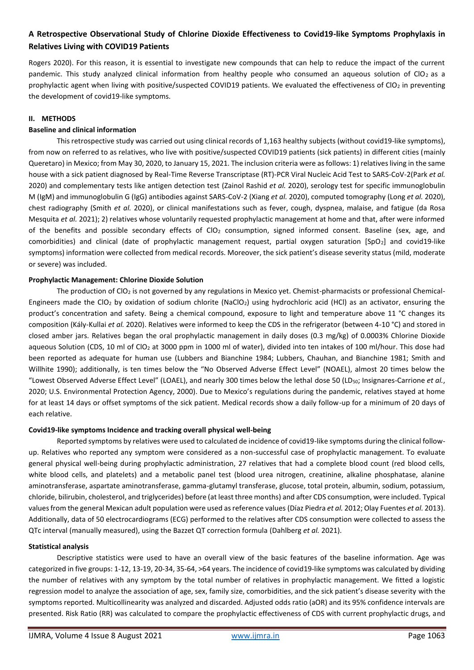Rogers 2020). For this reason, it is essential to investigate new compounds that can help to reduce the impact of the current pandemic. This study analyzed clinical information from healthy people who consumed an aqueous solution of ClO<sub>2</sub> as a prophylactic agent when living with positive/suspected COVID19 patients. We evaluated the effectiveness of ClO<sub>2</sub> in preventing the development of covid19-like symptoms.

#### **II. METHODS**

#### **Baseline and clinical information**

This retrospective study was carried out using clinical records of 1,163 healthy subjects (without covid19-like symptoms), from now on referred to as relatives, who live with positive/suspected COVID19 patients (sick patients) in different cities (mainly Queretaro) in Mexico; from May 30, 2020, to January 15, 2021. The inclusion criteria were as follows: 1) relatives living in the same house with a sick patient diagnosed by Real-Time Reverse Transcriptase (RT)-PCR Viral Nucleic Acid Test to SARS-CoV-2(Park *et al.* 2020) and complementary tests like antigen detection test (Zainol Rashid *et al.* 2020), serology test for specific immunoglobulin M (IgM) and immunoglobulin G (IgG) antibodies against SARS-CoV-2 (Xiang *et al.* 2020), computed tomography (Long *et al.* 2020), chest radiography (Smith *et al.* 2020), or clinical manifestations such as fever, cough, dyspnea, malaise, and fatigue (da Rosa Mesquita *et al.* 2021); 2) relatives whose voluntarily requested prophylactic management at home and that, after were informed of the benefits and possible secondary effects of CIO<sub>2</sub> consumption, signed informed consent. Baseline (sex, age, and comorbidities) and clinical (date of prophylactic management request, partial oxygen saturation [SpO2] and covid19-like symptoms) information were collected from medical records. Moreover, the sick patient's disease severity status (mild, moderate or severe) was included.

#### **Prophylactic Management: Chlorine Dioxide Solution**

The production of ClO<sub>2</sub> is not governed by any regulations in Mexico yet. Chemist-pharmacists or professional Chemical-Engineers made the ClO<sub>2</sub> by oxidation of sodium chlorite (NaClO<sub>2</sub>) using hydrochloric acid (HCl) as an activator, ensuring the product's concentration and safety. Being a chemical compound, exposure to light and temperature above 11 °C changes its composition (Kály-Kullai *et al.* 2020). Relatives were informed to keep the CDS in the refrigerator (between 4-10 °C) and stored in closed amber jars. Relatives began the oral prophylactic management in daily doses (0.3 mg/kg) of 0.0003% Chlorine Dioxide aqueous Solution (CDS, 10 ml of ClO<sub>2</sub> at 3000 ppm in 1000 ml of water), divided into ten intakes of 100 ml/hour. This dose had been reported as adequate for human use (Lubbers and Bianchine 1984; Lubbers, Chauhan, and Bianchine 1981; Smith and Willhite 1990); additionally, is ten times below the "No Observed Adverse Effect Level" (NOAEL), almost 20 times below the "Lowest Observed Adverse Effect Level" (LOAEL), and nearly 300 times below the lethal dose 50 (LD<sub>50</sub>; Insignares-Carrione *et al.*, 2020; U.S. Environmental Protection Agency, 2000). Due to Mexico's regulations during the pandemic, relatives stayed at home for at least 14 days or offset symptoms of the sick patient. Medical records show a daily follow-up for a minimum of 20 days of each relative.

#### **Covid19-like symptoms Incidence and tracking overall physical well-being**

Reported symptoms by relatives were used to calculated de incidence of covid19-like symptoms during the clinical followup. Relatives who reported any symptom were considered as a non-successful case of prophylactic management. To evaluate general physical well-being during prophylactic administration, 27 relatives that had a complete blood count (red blood cells, white blood cells, and platelets) and a metabolic panel test (blood urea nitrogen, creatinine, alkaline phosphatase, alanine aminotransferase, aspartate aminotransferase, gamma-glutamyl transferase, glucose, total protein, albumin, sodium, potassium, chloride, bilirubin, cholesterol, and triglycerides) before (at least three months) and after CDS consumption, were included. Typical values from the general Mexican adult population were used as reference values (Díaz Piedra *et al.* 2012; Olay Fuentes *et al.* 2013). Additionally, data of 50 electrocardiograms (ECG) performed to the relatives after CDS consumption were collected to assess the QTc interval (manually measured), using the Bazzet QT correction formula (Dahlberg *et al.* 2021).

#### **Statistical analysis**

Descriptive statistics were used to have an overall view of the basic features of the baseline information. Age was categorized in five groups: 1-12, 13-19, 20-34, 35-64, >64 years. The incidence of covid19-like symptoms was calculated by dividing the number of relatives with any symptom by the total number of relatives in prophylactic management. We fitted a logistic regression model to analyze the association of age, sex, family size, comorbidities, and the sick patient's disease severity with the symptoms reported. Multicollinearity was analyzed and discarded. Adjusted odds ratio (aOR) and its 95% confidence intervals are presented. Risk Ratio (RR) was calculated to compare the prophylactic effectiveness of CDS with current prophylactic drugs, and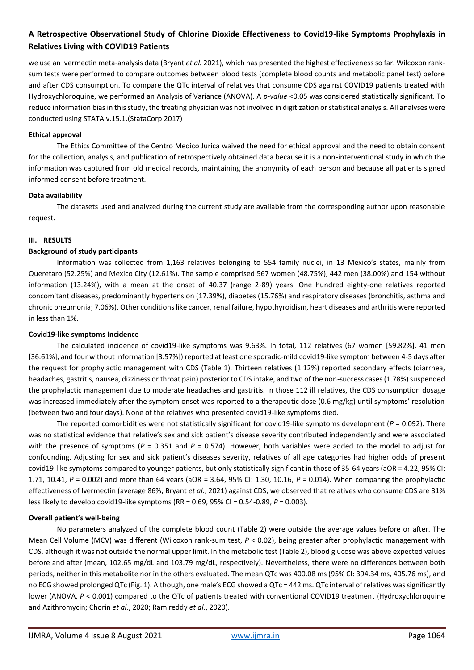we use an Ivermectin meta-analysis data (Bryant *et al.* 2021), which has presented the highest effectiveness so far. Wilcoxon ranksum tests were performed to compare outcomes between blood tests (complete blood counts and metabolic panel test) before and after CDS consumption. To compare the QTc interval of relatives that consume CDS against COVID19 patients treated with Hydroxychloroquine, we performed an Analysis of Variance (ANOVA). A *p-value* <0.05 was considered statistically significant. To reduce information bias in this study, the treating physician was not involved in digitization or statistical analysis. All analyses were conducted using STATA v.15.1.(StataCorp 2017)

## **Ethical approval**

The Ethics Committee of the Centro Medico Jurica waived the need for ethical approval and the need to obtain consent for the collection, analysis, and publication of retrospectively obtained data because it is a non-interventional study in which the information was captured from old medical records, maintaining the anonymity of each person and because all patients signed informed consent before treatment.

## **Data availability**

The datasets used and analyzed during the current study are available from the corresponding author upon reasonable request.

## **III. RESULTS**

## **Background of study participants**

Information was collected from 1,163 relatives belonging to 554 family nuclei, in 13 Mexico's states, mainly from Queretaro (52.25%) and Mexico City (12.61%). The sample comprised 567 women (48.75%), 442 men (38.00%) and 154 without information (13.24%), with a mean at the onset of 40.37 (range 2-89) years. One hundred eighty-one relatives reported concomitant diseases, predominantly hypertension (17.39%), diabetes (15.76%) and respiratory diseases (bronchitis, asthma and chronic pneumonia; 7.06%). Other conditions like cancer, renal failure, hypothyroidism, heart diseases and arthritis were reported in less than 1%.

## **Covid19-like symptoms Incidence**

The calculated incidence of covid19-like symptoms was 9.63%. In total, 112 relatives (67 women [59.82%], 41 men [36.61%], and four without information [3.57%]) reported at least one sporadic-mild covid19-like symptom between 4-5 days after the request for prophylactic management with CDS (Table 1). Thirteen relatives (1.12%) reported secondary effects (diarrhea, headaches, gastritis, nausea, dizziness or throat pain) posterior to CDS intake, and two of the non-success cases (1.78%) suspended the prophylactic management due to moderate headaches and gastritis. In those 112 ill relatives, the CDS consumption dosage was increased immediately after the symptom onset was reported to a therapeutic dose (0.6 mg/kg) until symptoms' resolution (between two and four days). None of the relatives who presented covid19-like symptoms died.

The reported comorbidities were not statistically significant for covid19-like symptoms development ( $P = 0.092$ ). There was no statistical evidence that relative's sex and sick patient's disease severity contributed independently and were associated with the presence of symptoms ( $P = 0.351$  and  $P = 0.574$ ). However, both variables were added to the model to adjust for confounding. Adjusting for sex and sick patient's diseases severity, relatives of all age categories had higher odds of present covid19-like symptoms compared to younger patients, but only statistically significant in those of 35-64 years (aOR = 4.22, 95% CI: 1.71, 10.41, *P* = 0.002) and more than 64 years (aOR = 3.64, 95% CI: 1.30, 10.16, *P* = 0.014). When comparing the prophylactic effectiveness of Ivermectin (average 86%; Bryant *et al.*, 2021) against CDS, we observed that relatives who consume CDS are 31% less likely to develop covid19-like symptoms (RR = 0.69, 95% CI = 0.54-0.89, *P* = 0.003).

#### **Overall patient's well-being**

No parameters analyzed of the complete blood count (Table 2) were outside the average values before or after. The Mean Cell Volume (MCV) was different (Wilcoxon rank-sum test, *P* < 0.02), being greater after prophylactic management with CDS, although it was not outside the normal upper limit. In the metabolic test (Table 2), blood glucose was above expected values before and after (mean, 102.65 mg/dL and 103.79 mg/dL, respectively). Nevertheless, there were no differences between both periods, neither in this metabolite nor in the others evaluated. The mean QTc was 400.08 ms (95% CI: 394.34 ms, 405.76 ms), and no ECG showed prolonged QTc (Fig. 1). Although, one male's ECG showed a QTc = 442 ms. QTc interval of relatives was significantly lower (ANOVA,  $P < 0.001$ ) compared to the QTc of patients treated with conventional COVID19 treatment (Hydroxychloroquine and Azithromycin; Chorin *et al.*, 2020; Ramireddy *et al.*, 2020).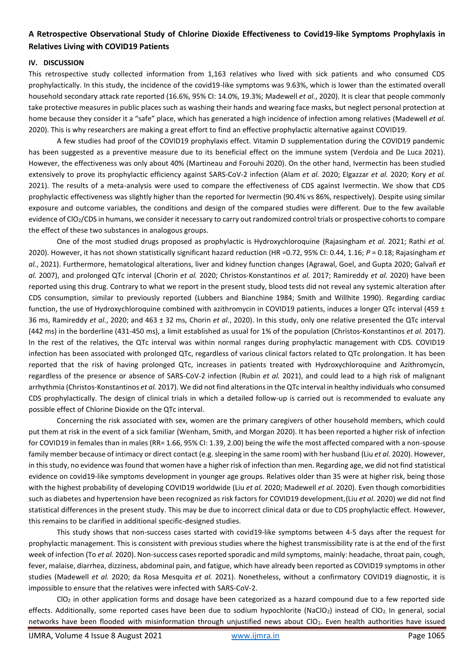#### **IV. DISCUSSION**

This retrospective study collected information from 1,163 relatives who lived with sick patients and who consumed CDS prophylactically. In this study, the incidence of the covid19-like symptoms was 9.63%, which is lower than the estimated overall household secondary attack rate reported (16.6%, 95% CI: 14.0%, 19.3%; Madewell *et al.*, 2020). It is clear that people commonly take protective measures in public places such as washing their hands and wearing face masks, but neglect personal protection at home because they consider it a "safe" place, which has generated a high incidence of infection among relatives (Madewell *et al.* 2020). This is why researchers are making a great effort to find an effective prophylactic alternative against COVID19.

A few studies had proof of the COVID19 prophylaxis effect. Vitamin D supplementation during the COVID19 pandemic has been suggested as a preventive measure due to its beneficial effect on the immune system (Verdoia and De Luca 2021). However, the effectiveness was only about 40% (Martineau and Forouhi 2020). On the other hand, Ivermectin has been studied extensively to prove its prophylactic efficiency against SARS-CoV-2 infection (Alam *et al.* 2020; Elgazzar *et al.* 2020; Kory *et al.* 2021). The results of a meta-analysis were used to compare the effectiveness of CDS against Ivermectin. We show that CDS prophylactic effectiveness was slightly higher than the reported for Ivermectin (90.4% vs 86%, respectively). Despite using similar exposure and outcome variables, the conditions and design of the compared studies were different. Due to the few available evidence of ClO2/CDS in humans, we consider it necessary to carry out randomized control trials or prospective cohorts to compare the effect of these two substances in analogous groups.

One of the most studied drugs proposed as prophylactic is Hydroxychloroquine (Rajasingham *et al.* 2021; Rathi *et al.* 2020). However, it has not shown statistically significant hazard reduction (HR =0.72, 95% CI: 0.44, 1.16; *P* = 0.18; Rajasingham *et al.*, 2021). Furthermore, hematological alterations, liver and kidney function changes (Agrawal, Goel, and Gupta 2020; Galvañ *et al.* 2007), and prolonged QTc interval (Chorin *et al.* 2020; Christos-Konstantinos *et al.* 2017; Ramireddy *et al.* 2020) have been reported using this drug. Contrary to what we report in the present study, blood tests did not reveal any systemic alteration after CDS consumption, similar to previously reported (Lubbers and Bianchine 1984; Smith and Willhite 1990). Regarding cardiac function, the use of Hydroxychloroquine combined with azithromycin in COVID19 patients, induces a longer QTc interval (459 ± 36 ms, Ramireddy *et al.*, 2020; and 463 ± 32 ms, Chorin *et al.*, 2020). In this study, only one relative presented the QTc interval (442 ms) in the borderline (431-450 ms), a limit established as usual for 1% of the population (Christos-Konstantinos *et al.* 2017). In the rest of the relatives, the QTc interval was within normal ranges during prophylactic management with CDS. COVID19 infection has been associated with prolonged QTc, regardless of various clinical factors related to QTc prolongation. It has been reported that the risk of having prolonged QTc, increases in patients treated with Hydroxychloroquine and Azithromycin, regardless of the presence or absence of SARS-CoV-2 infection (Rubin *et al.* 2021), and could lead to a high risk of malignant arrhythmia (Christos-Konstantinos *et al.* 2017). We did not find alterations in the QTc interval in healthy individuals who consumed CDS prophylactically. The design of clinical trials in which a detailed follow-up is carried out is recommended to evaluate any possible effect of Chlorine Dioxide on the QTc interval.

Concerning the risk associated with sex, women are the primary caregivers of other household members, which could put them at risk in the event of a sick familiar (Wenham, Smith, and Morgan 2020). It has been reported a higher risk of infection for COVID19 in females than in males (RR= 1.66, 95% CI: 1.39, 2.00) being the wife the most affected compared with a non-spouse family member because of intimacy or direct contact (e.g. sleeping in the same room) with her husband (Liu *et al.* 2020). However, in this study, no evidence was found that women have a higher risk of infection than men. Regarding age, we did not find statistical evidence on covid19-like symptoms development in younger age groups. Relatives older than 35 were at higher risk, being those with the highest probability of developing COVID19 worldwide (Liu *et al.* 2020; Madewell *et al.* 2020). Even though comorbidities such as diabetes and hypertension have been recognized as risk factors for COVID19 development,(Liu *et al.* 2020) we did not find statistical differences in the present study. This may be due to incorrect clinical data or due to CDS prophylactic effect. However, this remains to be clarified in additional specific-designed studies.

This study shows that non-success cases started with covid19-like symptoms between 4-5 days after the request for prophylactic management. This is consistent with previous studies where the highest transmissibility rate is at the end of the first week of infection (To *et al.* 2020). Non-success cases reported sporadic and mild symptoms, mainly: headache, throat pain, cough, fever, malaise, diarrhea, dizziness, abdominal pain, and fatigue, which have already been reported as COVID19 symptoms in other studies (Madewell *et al.* 2020; da Rosa Mesquita *et al.* 2021). Nonetheless, without a confirmatory COVID19 diagnostic, it is impossible to ensure that the relatives were infected with SARS-CoV-2.

 $ClO<sub>2</sub>$  in other application forms and dosage have been categorized as a hazard compound due to a few reported side effects. Additionally, some reported cases have been due to sodium hypochlorite (NaClO<sub>2</sub>) instead of ClO<sub>2</sub>. In general, social networks have been flooded with misinformation through unjustified news about ClO<sub>2</sub>. Even health authorities have issued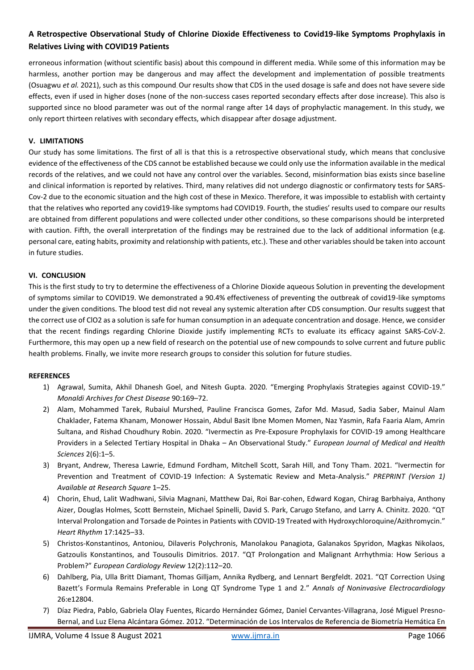erroneous information (without scientific basis) about this compound in different media. While some of this information may be harmless, another portion may be dangerous and may affect the development and implementation of possible treatments (Osuagwu *et al.* 2021), such as this compound. Our results show that CDS in the used dosage is safe and does not have severe side effects, even if used in higher doses (none of the non-success cases reported secondary effects after dose increase). This also is supported since no blood parameter was out of the normal range after 14 days of prophylactic management. In this study, we only report thirteen relatives with secondary effects, which disappear after dosage adjustment.

## **V. LIMITATIONS**

Our study has some limitations. The first of all is that this is a retrospective observational study, which means that conclusive evidence of the effectiveness of the CDS cannot be established because we could only use the information available in the medical records of the relatives, and we could not have any control over the variables. Second, misinformation bias exists since baseline and clinical information is reported by relatives. Third, many relatives did not undergo diagnostic or confirmatory tests for SARS-Cov-2 due to the economic situation and the high cost of these in Mexico. Therefore, it was impossible to establish with certainty that the relatives who reported any covid19-like symptoms had COVID19. Fourth, the studies' results used to compare our results are obtained from different populations and were collected under other conditions, so these comparisons should be interpreted with caution. Fifth, the overall interpretation of the findings may be restrained due to the lack of additional information (e.g. personal care, eating habits, proximity and relationship with patients, etc.). These and other variables should be taken into account in future studies.

#### **VI. CONCLUSION**

This is the first study to try to determine the effectiveness of a Chlorine Dioxide aqueous Solution in preventing the development of symptoms similar to COVID19. We demonstrated a 90.4% effectiveness of preventing the outbreak of covid19-like symptoms under the given conditions. The blood test did not reveal any systemic alteration after CDS consumption. Our results suggest that the correct use of ClO2 as a solution is safe for human consumption in an adequate concentration and dosage. Hence, we consider that the recent findings regarding Chlorine Dioxide justify implementing RCTs to evaluate its efficacy against SARS-CoV-2. Furthermore, this may open up a new field of research on the potential use of new compounds to solve current and future public health problems. Finally, we invite more research groups to consider this solution for future studies.

#### **REFERENCES**

- 1) Agrawal, Sumita, Akhil Dhanesh Goel, and Nitesh Gupta. 2020. "Emerging Prophylaxis Strategies against COVID-19." *Monaldi Archives for Chest Disease* 90:169–72.
- 2) Alam, Mohammed Tarek, Rubaiul Murshed, Pauline Francisca Gomes, Zafor Md. Masud, Sadia Saber, Mainul Alam Chaklader, Fatema Khanam, Monower Hossain, Abdul Basit Ibne Momen Momen, Naz Yasmin, Rafa Faaria Alam, Amrin Sultana, and Rishad Choudhury Robin. 2020. "Ivermectin as Pre-Exposure Prophylaxis for COVID-19 among Healthcare Providers in a Selected Tertiary Hospital in Dhaka – An Observational Study." *European Journal of Medical and Health Sciences* 2(6):1–5.
- 3) Bryant, Andrew, Theresa Lawrie, Edmund Fordham, Mitchell Scott, Sarah Hill, and Tony Tham. 2021. "Ivermectin for Prevention and Treatment of COVID-19 Infection: A Systematic Review and Meta-Analysis." *PREPRINT (Version 1) Available at Research Square* 1–25.
- 4) Chorin, Ehud, Lalit Wadhwani, Silvia Magnani, Matthew Dai, Roi Bar-cohen, Edward Kogan, Chirag Barbhaiya, Anthony Aizer, Douglas Holmes, Scott Bernstein, Michael Spinelli, David S. Park, Carugo Stefano, and Larry A. Chinitz. 2020. "QT Interval Prolongation and Torsade de Pointes in Patients with COVID-19 Treated with Hydroxychloroquine/Azithromycin." *Heart Rhythm* 17:1425–33.
- 5) Christos-Konstantinos, Antoniou, Dilaveris Polychronis, Manolakou Panagiota, Galanakos Spyridon, Magkas Nikolaos, Gatzoulis Konstantinos, and Tousoulis Dimitrios. 2017. "QT Prolongation and Malignant Arrhythmia: How Serious a Problem?" *European Cardiology Review* 12(2):112–20.
- 6) Dahlberg, Pia, Ulla Britt Diamant, Thomas Gilljam, Annika Rydberg, and Lennart Bergfeldt. 2021. "QT Correction Using Bazett's Formula Remains Preferable in Long QT Syndrome Type 1 and 2." *Annals of Noninvasive Electrocardiology* 26:e12804.
- 7) Díaz Piedra, Pablo, Gabriela Olay Fuentes, Ricardo Hernández Gómez, Daniel Cervantes-Villagrana, José Miguel Presno-Bernal, and Luz Elena Alcántara Gómez. 2012. "Determinación de Los Intervalos de Referencia de Biometría Hemática En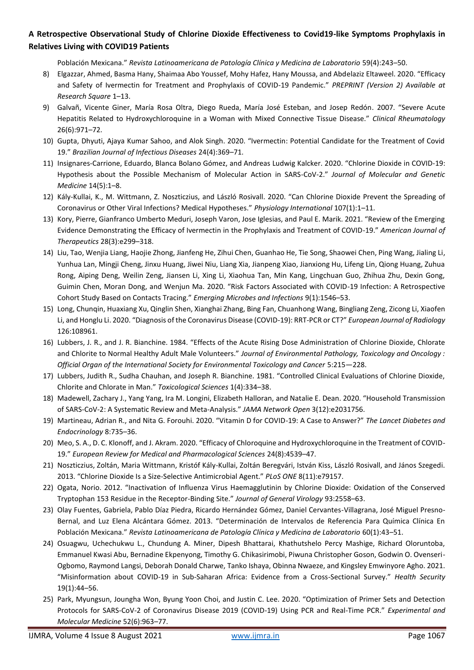Población Mexicana." *Revista Latinoamericana de Patología Clínica y Medicina de Laboratorio* 59(4):243–50.

- 8) Elgazzar, Ahmed, Basma Hany, Shaimaa Abo Youssef, Mohy Hafez, Hany Moussa, and Abdelaziz Eltaweel. 2020. "Efficacy and Safety of Ivermectin for Treatment and Prophylaxis of COVID-19 Pandemic." *PREPRINT (Version 2) Available at Research Square* 1–13.
- 9) Galvañ, Vicente Giner, María Rosa Oltra, Diego Rueda, María José Esteban, and Josep Redón. 2007. "Severe Acute Hepatitis Related to Hydroxychloroquine in a Woman with Mixed Connective Tissue Disease." *Clinical Rheumatology* 26(6):971–72.
- 10) Gupta, Dhyuti, Ajaya Kumar Sahoo, and Alok Singh. 2020. "Ivermectin: Potential Candidate for the Treatment of Covid 19." *Brazilian Journal of Infectious Diseases* 24(4):369–71.
- 11) Insignares-Carrione, Eduardo, Blanca Bolano Gómez, and Andreas Ludwig Kalcker. 2020. "Chlorine Dioxide in COVID-19: Hypothesis about the Possible Mechanism of Molecular Action in SARS-CoV-2." *Journal of Molecular and Genetic Medicine* 14(5):1–8.
- 12) Kály-Kullai, K., M. Wittmann, Z. Noszticzius, and László Rosivall. 2020. "Can Chlorine Dioxide Prevent the Spreading of Coronavirus or Other Viral Infections? Medical Hypotheses." *Physiology International* 107(1):1–11.
- 13) Kory, Pierre, Gianfranco Umberto Meduri, Joseph Varon, Jose Iglesias, and Paul E. Marik. 2021. "Review of the Emerging Evidence Demonstrating the Efficacy of Ivermectin in the Prophylaxis and Treatment of COVID-19." *American Journal of Therapeutics* 28(3):e299–318.
- 14) Liu, Tao, Wenjia Liang, Haojie Zhong, Jianfeng He, Zihui Chen, Guanhao He, Tie Song, Shaowei Chen, Ping Wang, Jialing Li, Yunhua Lan, Mingji Cheng, Jinxu Huang, Jiwei Niu, Liang Xia, Jianpeng Xiao, Jianxiong Hu, Lifeng Lin, Qiong Huang, Zuhua Rong, Aiping Deng, Weilin Zeng, Jiansen Li, Xing Li, Xiaohua Tan, Min Kang, Lingchuan Guo, Zhihua Zhu, Dexin Gong, Guimin Chen, Moran Dong, and Wenjun Ma. 2020. "Risk Factors Associated with COVID-19 Infection: A Retrospective Cohort Study Based on Contacts Tracing." *Emerging Microbes and Infections* 9(1):1546–53.
- 15) Long, Chunqin, Huaxiang Xu, Qinglin Shen, Xianghai Zhang, Bing Fan, Chuanhong Wang, Bingliang Zeng, Zicong Li, Xiaofen Li, and Honglu Li. 2020. "Diagnosis of the Coronavirus Disease (COVID-19): RRT-PCR or CT?" *European Journal of Radiology* 126:108961.
- 16) Lubbers, J. R., and J. R. Bianchine. 1984. "Effects of the Acute Rising Dose Administration of Chlorine Dioxide, Chlorate and Chlorite to Normal Healthy Adult Male Volunteers." *Journal of Environmental Pathology, Toxicology and Oncology : Official Organ of the International Society for Environmental Toxicology and Cancer* 5:215—228.
- 17) Lubbers, Judith R., Sudha Chauhan, and Joseph R. Bianchine. 1981. "Controlled Clinical Evaluations of Chlorine Dioxide, Chlorite and Chlorate in Man." *Toxicological Sciences* 1(4):334–38.
- 18) Madewell, Zachary J., Yang Yang, Ira M. Longini, Elizabeth Halloran, and Natalie E. Dean. 2020. "Household Transmission of SARS-CoV-2: A Systematic Review and Meta-Analysis." *JAMA Network Open* 3(12):e2031756.
- 19) Martineau, Adrian R., and Nita G. Forouhi. 2020. "Vitamin D for COVID-19: A Case to Answer?" *The Lancet Diabetes and Endocrinology* 8:735–36.
- 20) Meo, S. A., D. C. Klonoff, and J. Akram. 2020. "Efficacy of Chloroquine and Hydroxychloroquine in the Treatment of COVID-19." *European Review for Medical and Pharmacological Sciences* 24(8):4539–47.
- 21) Noszticzius, Zoltán, Maria Wittmann, Kristóf Kály-Kullai, Zoltán Beregvári, István Kiss, László Rosivall, and János Szegedi. 2013. "Chlorine Dioxide Is a Size-Selective Antimicrobial Agent." *PLoS ONE* 8(11):e79157.
- 22) Ogata, Norio. 2012. "Inactivation of Influenza Virus Haemagglutinin by Chlorine Dioxide: Oxidation of the Conserved Tryptophan 153 Residue in the Receptor-Binding Site." *Journal of General Virology* 93:2558–63.
- 23) Olay Fuentes, Gabriela, Pablo Díaz Piedra, Ricardo Hernández Gómez, Daniel Cervantes-Villagrana, José Miguel Presno-Bernal, and Luz Elena Alcántara Gómez. 2013. "Determinación de Intervalos de Referencia Para Química Clínica En Población Mexicana." *Revista Latinoamericana de Patología Clínica y Medicina de Laboratorio* 60(1):43–51.
- 24) Osuagwu, Uchechukwu L., Chundung A. Miner, Dipesh Bhattarai, Khathutshelo Percy Mashige, Richard Oloruntoba, Emmanuel Kwasi Abu, Bernadine Ekpenyong, Timothy G. Chikasirimobi, Piwuna Christopher Goson, Godwin O. Ovenseri-Ogbomo, Raymond Langsi, Deborah Donald Charwe, Tanko Ishaya, Obinna Nwaeze, and Kingsley Emwinyore Agho. 2021. "Misinformation about COVID-19 in Sub-Saharan Africa: Evidence from a Cross-Sectional Survey." *Health Security* 19(1):44–56.
- 25) Park, Myungsun, Joungha Won, Byung Yoon Choi, and Justin C. Lee. 2020. "Optimization of Primer Sets and Detection Protocols for SARS-CoV-2 of Coronavirus Disease 2019 (COVID-19) Using PCR and Real-Time PCR." *Experimental and Molecular Medicine* 52(6):963–77.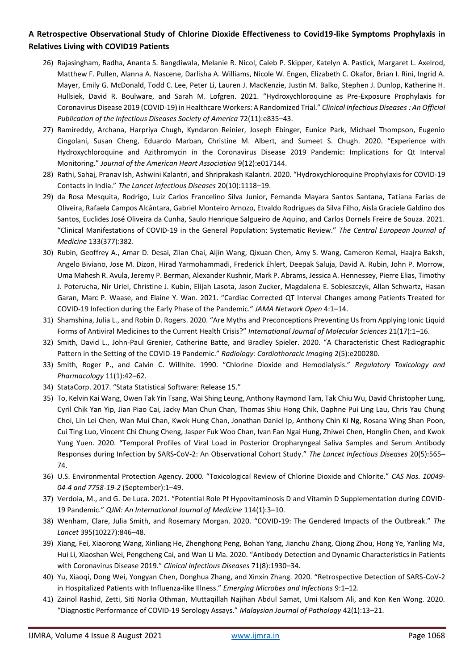- 26) Rajasingham, Radha, Ananta S. Bangdiwala, Melanie R. Nicol, Caleb P. Skipper, Katelyn A. Pastick, Margaret L. Axelrod, Matthew F. Pullen, Alanna A. Nascene, Darlisha A. Williams, Nicole W. Engen, Elizabeth C. Okafor, Brian I. Rini, Ingrid A. Mayer, Emily G. McDonald, Todd C. Lee, Peter Li, Lauren J. MacKenzie, Justin M. Balko, Stephen J. Dunlop, Katherine H. Hullsiek, David R. Boulware, and Sarah M. Lofgren. 2021. "Hydroxychloroquine as Pre-Exposure Prophylaxis for Coronavirus Disease 2019 (COVID-19) in Healthcare Workers: A Randomized Trial." *Clinical Infectious Diseases : An Official Publication of the Infectious Diseases Society of America* 72(11):e835–43.
- 27) Ramireddy, Archana, Harpriya Chugh, Kyndaron Reinier, Joseph Ebinger, Eunice Park, Michael Thompson, Eugenio Cingolani, Susan Cheng, Eduardo Marban, Christine M. Albert, and Sumeet S. Chugh. 2020. "Experience with Hydroxychloroquine and Azithromycin in the Coronavirus Disease 2019 Pandemic: Implications for Qt Interval Monitoring." *Journal of the American Heart Association* 9(12):e017144.
- 28) Rathi, Sahaj, Pranav Ish, Ashwini Kalantri, and Shriprakash Kalantri. 2020. "Hydroxychloroquine Prophylaxis for COVID-19 Contacts in India." *The Lancet Infectious Diseases* 20(10):1118–19.
- 29) da Rosa Mesquita, Rodrigo, Luiz Carlos Francelino Silva Junior, Fernanda Mayara Santos Santana, Tatiana Farias de Oliveira, Rafaela Campos Alcântara, Gabriel Monteiro Arnozo, Etvaldo Rodrigues da Silva Filho, Aisla Graciele Galdino dos Santos, Euclides José Oliveira da Cunha, Saulo Henrique Salgueiro de Aquino, and Carlos Dornels Freire de Souza. 2021. "Clinical Manifestations of COVID-19 in the General Population: Systematic Review." *The Central European Journal of Medicine* 133(377):382.
- 30) Rubin, Geoffrey A., Amar D. Desai, Zilan Chai, Aijin Wang, Qixuan Chen, Amy S. Wang, Cameron Kemal, Haajra Baksh, Angelo Biviano, Jose M. Dizon, Hirad Yarmohammadi, Frederick Ehlert, Deepak Saluja, David A. Rubin, John P. Morrow, Uma Mahesh R. Avula, Jeremy P. Berman, Alexander Kushnir, Mark P. Abrams, Jessica A. Hennessey, Pierre Elias, Timothy J. Poterucha, Nir Uriel, Christine J. Kubin, Elijah Lasota, Jason Zucker, Magdalena E. Sobieszczyk, Allan Schwartz, Hasan Garan, Marc P. Waase, and Elaine Y. Wan. 2021. "Cardiac Corrected QT Interval Changes among Patients Treated for COVID-19 Infection during the Early Phase of the Pandemic." *JAMA Network Open* 4:1–14.
- 31) Shamshina, Julia L., and Robin D. Rogers. 2020. "Are Myths and Preconceptions Preventing Us from Applying Ionic Liquid Forms of Antiviral Medicines to the Current Health Crisis?" *International Journal of Molecular Sciences* 21(17):1–16.
- 32) Smith, David L., John-Paul Grenier, Catherine Batte, and Bradley Spieler. 2020. "A Characteristic Chest Radiographic Pattern in the Setting of the COVID-19 Pandemic." *Radiology: Cardiothoracic Imaging* 2(5):e200280.
- 33) Smith, Roger P., and Calvin C. Willhite. 1990. "Chlorine Dioxide and Hemodialysis." *Regulatory Toxicology and Pharmacology* 11(1):42–62.
- 34) StataCorp. 2017. "Stata Statistical Software: Release 15."
- 35) To, Kelvin Kai Wang, Owen Tak Yin Tsang, Wai Shing Leung, Anthony Raymond Tam, Tak Chiu Wu, David Christopher Lung, Cyril Chik Yan Yip, Jian Piao Cai, Jacky Man Chun Chan, Thomas Shiu Hong Chik, Daphne Pui Ling Lau, Chris Yau Chung Choi, Lin Lei Chen, Wan Mui Chan, Kwok Hung Chan, Jonathan Daniel Ip, Anthony Chin Ki Ng, Rosana Wing Shan Poon, Cui Ting Luo, Vincent Chi Chung Cheng, Jasper Fuk Woo Chan, Ivan Fan Ngai Hung, Zhiwei Chen, Honglin Chen, and Kwok Yung Yuen. 2020. "Temporal Profiles of Viral Load in Posterior Oropharyngeal Saliva Samples and Serum Antibody Responses during Infection by SARS-CoV-2: An Observational Cohort Study." *The Lancet Infectious Diseases* 20(5):565– 74.
- 36) U.S. Environmental Protection Agency. 2000. "Toxicological Review of Chlorine Dioxide and Chlorite." *CAS Nos. 10049- 04-4 and 7758-19-2* (September):1–49.
- 37) Verdoia, M., and G. De Luca. 2021. "Potential Role Pf Hypovitaminosis D and Vitamin D Supplementation during COVID-19 Pandemic." *QJM: An International Journal of Medicine* 114(1):3–10.
- 38) Wenham, Clare, Julia Smith, and Rosemary Morgan. 2020. "COVID-19: The Gendered Impacts of the Outbreak." *The Lancet* 395(10227):846–48.
- 39) Xiang, Fei, Xiaorong Wang, Xinliang He, Zhenghong Peng, Bohan Yang, Jianchu Zhang, Qiong Zhou, Hong Ye, Yanling Ma, Hui Li, Xiaoshan Wei, Pengcheng Cai, and Wan Li Ma. 2020. "Antibody Detection and Dynamic Characteristics in Patients with Coronavirus Disease 2019." *Clinical Infectious Diseases* 71(8):1930–34.
- 40) Yu, Xiaoqi, Dong Wei, Yongyan Chen, Donghua Zhang, and Xinxin Zhang. 2020. "Retrospective Detection of SARS-CoV-2 in Hospitalized Patients with Influenza-like Illness." *Emerging Microbes and Infections* 9:1–12.
- 41) Zainol Rashid, Zetti, Siti Norlia Othman, Muttaqillah Najihan Abdul Samat, Umi Kalsom Ali, and Kon Ken Wong. 2020. "Diagnostic Performance of COVID-19 Serology Assays." *Malaysian Journal of Pathology* 42(1):13–21.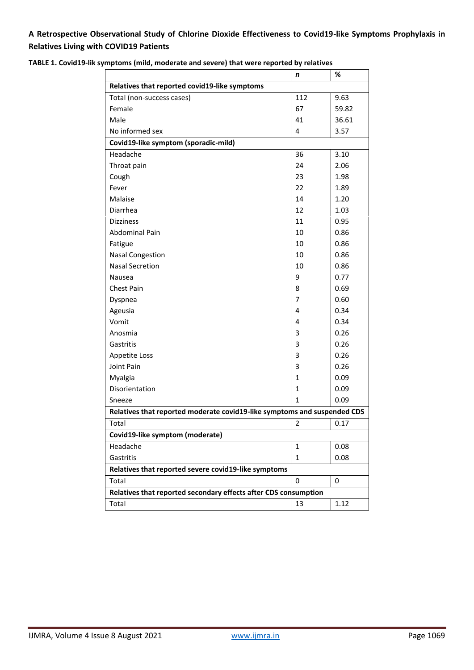|                                                                          | n              | %     |  |  |  |  |  |  |
|--------------------------------------------------------------------------|----------------|-------|--|--|--|--|--|--|
| Relatives that reported covid19-like symptoms                            |                |       |  |  |  |  |  |  |
| Total (non-success cases)                                                | 112            | 9.63  |  |  |  |  |  |  |
| Female                                                                   | 67             | 59.82 |  |  |  |  |  |  |
| Male                                                                     | 41             | 36.61 |  |  |  |  |  |  |
| No informed sex                                                          | 4              | 3.57  |  |  |  |  |  |  |
| Covid19-like symptom (sporadic-mild)                                     |                |       |  |  |  |  |  |  |
| Headache                                                                 | 36             | 3.10  |  |  |  |  |  |  |
| Throat pain                                                              | 24             | 2.06  |  |  |  |  |  |  |
| Cough                                                                    | 23             | 1.98  |  |  |  |  |  |  |
| Fever                                                                    | 22             | 1.89  |  |  |  |  |  |  |
| Malaise                                                                  | 14             | 1.20  |  |  |  |  |  |  |
| Diarrhea                                                                 | 12             | 1.03  |  |  |  |  |  |  |
| Dizziness                                                                | 11             | 0.95  |  |  |  |  |  |  |
| <b>Abdominal Pain</b>                                                    | 10             | 0.86  |  |  |  |  |  |  |
| Fatigue                                                                  | 10             | 0.86  |  |  |  |  |  |  |
| <b>Nasal Congestion</b>                                                  | 10             | 0.86  |  |  |  |  |  |  |
| <b>Nasal Secretion</b>                                                   | 10             | 0.86  |  |  |  |  |  |  |
| Nausea                                                                   | 9              | 0.77  |  |  |  |  |  |  |
| Chest Pain                                                               | 8              | 0.69  |  |  |  |  |  |  |
| Dyspnea                                                                  | 7              | 0.60  |  |  |  |  |  |  |
| Ageusia                                                                  | 4              | 0.34  |  |  |  |  |  |  |
| Vomit                                                                    | 4              | 0.34  |  |  |  |  |  |  |
| Anosmia                                                                  | 3              | 0.26  |  |  |  |  |  |  |
| Gastritis                                                                | 3              | 0.26  |  |  |  |  |  |  |
| Appetite Loss                                                            | 3              | 0.26  |  |  |  |  |  |  |
| Joint Pain                                                               | 3              | 0.26  |  |  |  |  |  |  |
| Myalgia                                                                  | $\mathbf{1}$   | 0.09  |  |  |  |  |  |  |
| Disorientation                                                           | $\mathbf{1}$   | 0.09  |  |  |  |  |  |  |
| Sneeze                                                                   | $\mathbf{1}$   | 0.09  |  |  |  |  |  |  |
| Relatives that reported moderate covid19-like symptoms and suspended CDS |                |       |  |  |  |  |  |  |
| Total                                                                    | $\overline{2}$ | 0.17  |  |  |  |  |  |  |
| Covid19-like symptom (moderate)                                          |                |       |  |  |  |  |  |  |
| Headache                                                                 | 1              | 0.08  |  |  |  |  |  |  |
| Gastritis                                                                | $\mathbf{1}$   | 0.08  |  |  |  |  |  |  |
| Relatives that reported severe covid19-like symptoms                     |                |       |  |  |  |  |  |  |
| Total                                                                    | 0              | 0     |  |  |  |  |  |  |
| Relatives that reported secondary effects after CDS consumption          |                |       |  |  |  |  |  |  |
| Total                                                                    | 13             | 1.12  |  |  |  |  |  |  |

**TABLE 1. Covid19-lik symptoms (mild, moderate and severe) that were reported by relatives**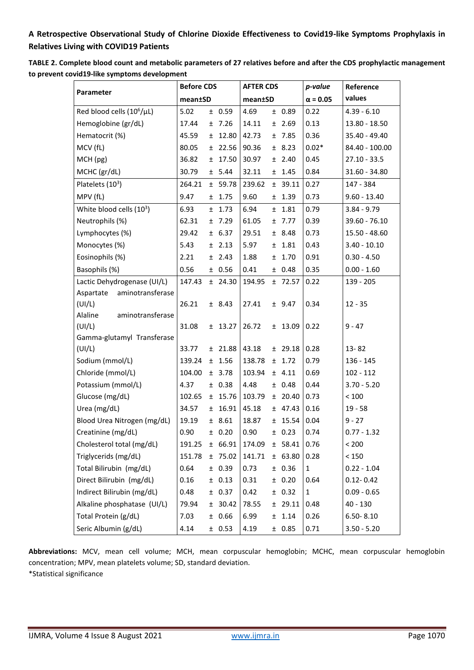| TABLE 2. Complete blood count and metabolic parameters of 27 relatives before and after the CDS prophylactic management |
|-------------------------------------------------------------------------------------------------------------------------|
| to prevent covid19-like symptoms development                                                                            |

|                                | <b>Before CDS</b> |  | <b>AFTER CDS</b> |         |    | p-value   | Reference       |                |
|--------------------------------|-------------------|--|------------------|---------|----|-----------|-----------------|----------------|
| Parameter                      | mean±SD           |  |                  | mean±SD |    |           | $\alpha = 0.05$ | values         |
| Red blood cells $(10^6/\mu L)$ | 5.02              |  | ± 0.59           | 4.69    |    | ± 0.89    | 0.22            | $4.39 - 6.10$  |
| Hemoglobine (gr/dL)            | 17.44             |  | ±7.26            | 14.11   |    | $±$ 2.69  | 0.13            | 13.80 - 18.50  |
| Hematocrit (%)                 | 45.59             |  | $±$ 12.80        | 42.73   |    | ±7.85     | 0.36            | 35.40 - 49.40  |
| MCV (fL)                       | 80.05             |  | $±$ 22.56        | 90.36   |    | ± 8.23    | $0.02*$         | 84.40 - 100.00 |
| MCH (pg)                       | 36.82             |  | $±$ 17.50        | 30.97   |    | ± 2.40    | 0.45            | $27.10 - 33.5$ |
| MCHC (gr/dL)                   | 30.79             |  | ± 5.44           | 32.11   |    | $±$ 1.45  | 0.84            | 31.60 - 34.80  |
| Platelets $(10^3)$             | 264.21            |  | ± 59.78          | 239.62  |    | $±$ 39.11 | 0.27            | 147 - 384      |
| MPV (fL)                       | 9.47              |  | $±$ 1.75         | 9.60    |    | ± 1.39    | 0.73            | $9.60 - 13.40$ |
| White blood cells (103)        | 6.93              |  | $±$ 1.73         | 6.94    |    | ± 1.81    | 0.79            | $3.84 - 9.79$  |
| Neutrophils (%)                | 62.31             |  | ±7.29            | 61.05   |    | ± 7.77    | 0.39            | 39.60 - 76.10  |
| Lymphocytes (%)                | 29.42             |  | ± 6.37           | 29.51   |    | ± 8.48    | 0.73            | 15.50 - 48.60  |
| Monocytes (%)                  | 5.43              |  | $±$ 2.13         | 5.97    |    | $±$ 1.81  | 0.43            | $3.40 - 10.10$ |
| Eosinophils (%)                | 2.21              |  | $±$ 2.43         | 1.88    |    | ± 1.70    | 0.91            | $0.30 - 4.50$  |
| Basophils (%)                  | 0.56              |  | ± 0.56           | 0.41    |    | ± 0.48    | 0.35            | $0.00 - 1.60$  |
| Lactic Dehydrogenase (UI/L)    | 147.43            |  | $±$ 24.30        | 194.95  |    | ±72.57    | 0.22            | 139 - 205      |
| Aspartate<br>aminotransferase  |                   |  |                  |         |    |           |                 |                |
| (UI/L)                         | 26.21             |  | ± 8.43           | 27.41   |    | ± 9.47    | 0.34            | $12 - 35$      |
| Alaline<br>aminotransferase    |                   |  |                  |         |    |           |                 |                |
| (UI/L)                         | 31.08             |  | $±$ 13.27        | 26.72   |    | $±$ 13.09 | 0.22            | $9 - 47$       |
| Gamma-glutamyl Transferase     |                   |  |                  |         |    |           |                 |                |
| (UI/L)                         | 33.77             |  | $±$ 21.88        | 43.18   |    | $±$ 29.18 | 0.28            | 13-82          |
| Sodium (mmol/L)                | 139.24            |  | ± 1.56           | 138.78  |    | ± 1.72    | 0.79            | 136 - 145      |
| Chloride (mmol/L)              | 104.00            |  | ± 3.78           | 103.94  |    | ± 4.11    | 0.69            | $102 - 112$    |
| Potassium (mmol/L)             | 4.37              |  | ± 0.38           | 4.48    |    | ± 0.48    | 0.44            | $3.70 - 5.20$  |
| Glucose (mg/dL)                | 102.65            |  | ± 15.76          | 103.79  |    | ± 20.40   | 0.73            | < 100          |
| Urea (mg/dL)                   | 34.57             |  | $±$ 16.91        | 45.18   |    | ± 47.43   | 0.16            | $19 - 58$      |
| Blood Urea Nitrogen (mg/dL)    | 19.19             |  | ± 8.61           | 18.87   |    | $±$ 15.54 | 0.04            | $9 - 27$       |
| Creatinine (mg/dL)             | 0.90              |  | ± 0.20           | 0.90    |    | ± 0.23    | 0.74            | $0.77 - 1.32$  |
| Cholesterol total (mg/dL)      | 191.25            |  | ± 66.91          | 174.09  |    | ± 58.41   | 0.76            | < 200          |
| Triglycerids (mg/dL)           | 151.78            |  | ± 75.02          | 141.71  |    | ± 63.80   | 0.28            | < 150          |
| Total Bilirubin (mg/dL)        | 0.64              |  | ± 0.39           | 0.73    |    | ± 0.36    | 1               | $0.22 - 1.04$  |
| Direct Bilirubin (mg/dL)       | 0.16              |  | ± 0.13           | 0.31    |    | ± 0.20    | 0.64            | $0.12 - 0.42$  |
| Indirect Bilirubin (mg/dL)     | 0.48              |  | ± 0.37           | 0.42    |    | ± 0.32    | 1               | $0.09 - 0.65$  |
| Alkaline phosphatase (UI/L)    | 79.94             |  | ± 30.42          | 78.55   |    | $±$ 29.11 | 0.48            | $40 - 130$     |
| Total Protein (g/dL)           | 7.03              |  | ± 0.66           | 6.99    | ±. | 1.14      | 0.26            | $6.50 - 8.10$  |
| Seric Albumin (g/dL)           | 4.14              |  | ± 0.53           | 4.19    |    | ± 0.85    | 0.71            | $3.50 - 5.20$  |

**Abbreviations:** MCV, mean cell volume; MCH, mean corpuscular hemoglobin; MCHC, mean corpuscular hemoglobin concentration; MPV, mean platelets volume; SD, standard deviation.

\*Statistical significance